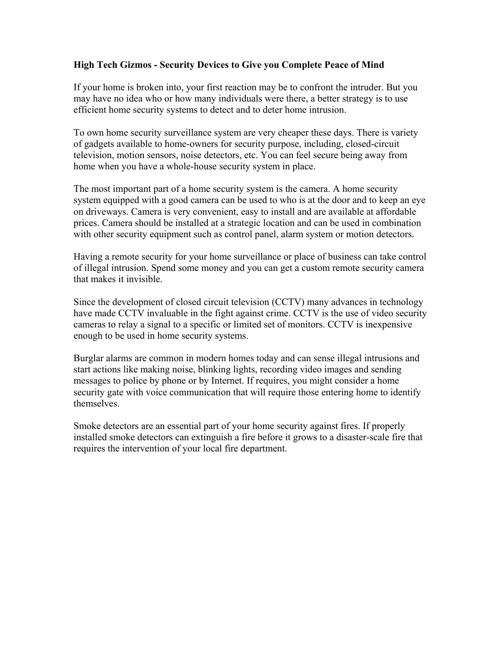## **High Tech Gizmos - Security Devices to Give you Complete Peace of Mind**

If your home is broken into, your first reaction may be to confront the intruder. But you may have no idea who or how many individuals were there, a better strategy is to use efficient home security systems to detect and to deter home intrusion.

To own home security surveillance system are very cheaper these days. There is variety of gadgets available to home-owners for security purpose, including, closed-circuit television, motion sensors, noise detectors, etc. You can feel secure being away from home when you have a whole-house security system in place.

The most important part of a home security system is the camera. A home security system equipped with a good camera can be used to who is at the door and to keep an eye on driveways. Camera is very convenient, easy to install and are available at affordable prices. Camera should be installed at a strategic location and can be used in combination with other security equipment such as control panel, alarm system or motion detectors.

Having a remote security for your home surveillance or place of business can take control of illegal intrusion. Spend some money and you can get a custom remote security camera that makes it invisible.

Since the development of closed circuit television (CCTV) many advances in technology have made CCTV invaluable in the fight against crime. CCTV is the use of video security cameras to relay a signal to a specific or limited set of monitors. CCTV is inexpensive enough to be used in home security systems.

Burglar alarms are common in modern homes today and can sense illegal intrusions and start actions like making noise, blinking lights, recording video images and sending messages to police by phone or by Internet. If requires, you might consider a home security gate with voice communication that will require those entering home to identify themselves.

Smoke detectors are an essential part of your home security against fires. If properly installed smoke detectors can extinguish a fire before it grows to a disaster-scale fire that requires the intervention of your local fire department.